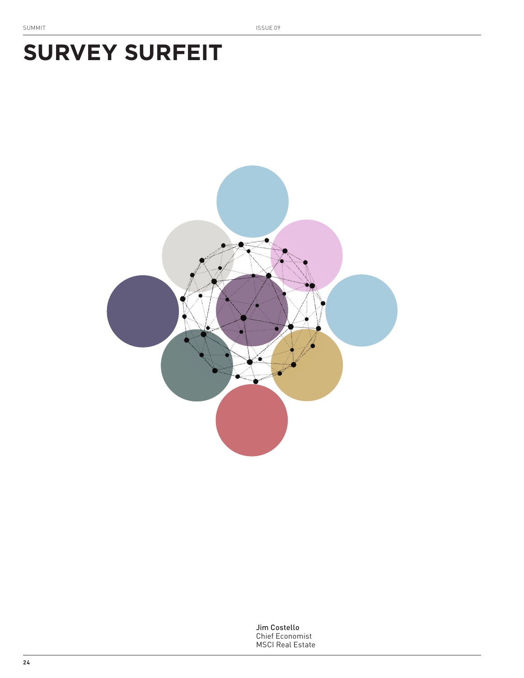# **SURVEY SURFEIT**



Jim Costello Chief Economist MSCI Real Estate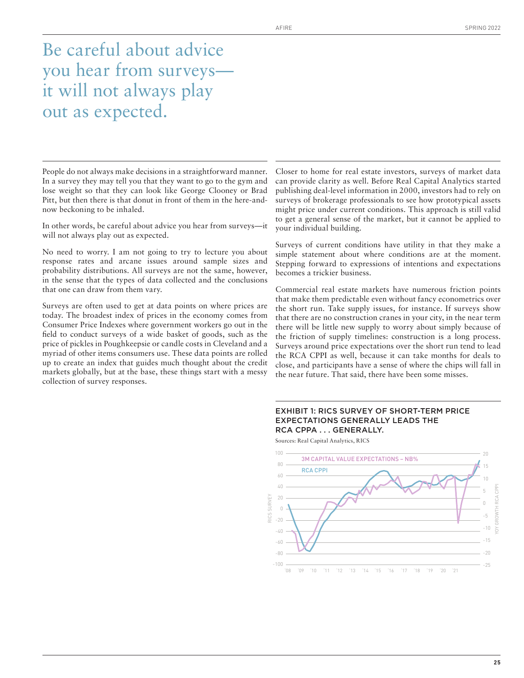Be careful about advice you hear from surveys it will not always play out as expected.

People do not always make decisions in a straightforward manner. In a survey they may tell you that they want to go to the gym and lose weight so that they can look like George Clooney or Brad Pitt, but then there is that donut in front of them in the here-andnow beckoning to be inhaled.

In other words, be careful about advice you hear from surveys—it will not always play out as expected.

No need to worry. I am not going to try to lecture you about response rates and arcane issues around sample sizes and probability distributions. All surveys are not the same, however, in the sense that the types of data collected and the conclusions that one can draw from them vary.

Surveys are often used to get at data points on where prices are today. The broadest index of prices in the economy comes from Consumer Price Indexes where government workers go out in the field to conduct surveys of a wide basket of goods, such as the price of pickles in Poughkeepsie or candle costs in Cleveland and a myriad of other items consumers use. These data points are rolled up to create an index that guides much thought about the credit markets globally, but at the base, these things start with a messy collection of survey responses.

Closer to home for real estate investors, surveys of market data can provide clarity as well. Before Real Capital Analytics started publishing deal-level information in 2000, investors had to rely on surveys of brokerage professionals to see how prototypical assets might price under current conditions. This approach is still valid to get a general sense of the market, but it cannot be applied to your individual building.

Surveys of current conditions have utility in that they make a simple statement about where conditions are at the moment. Stepping forward to expressions of intentions and expectations becomes a trickier business.

Commercial real estate markets have numerous friction points that make them predictable even without fancy econometrics over the short run. Take supply issues, for instance. If surveys show that there are no construction cranes in your city, in the near term there will be little new supply to worry about simply because of the friction of supply timelines: construction is a long process. Surveys around price expectations over the short run tend to lead the RCA CPPI as well, because it can take months for deals to close, and participants have a sense of where the chips will fall in the near future. That said, there have been some misses.

#### EXHIBIT 1: RICS SURVEY OF SHORT-TERM PRICE EXPECTATIONS GENERALLY LEADS THE RCA CPPA . . . GENERALLY.

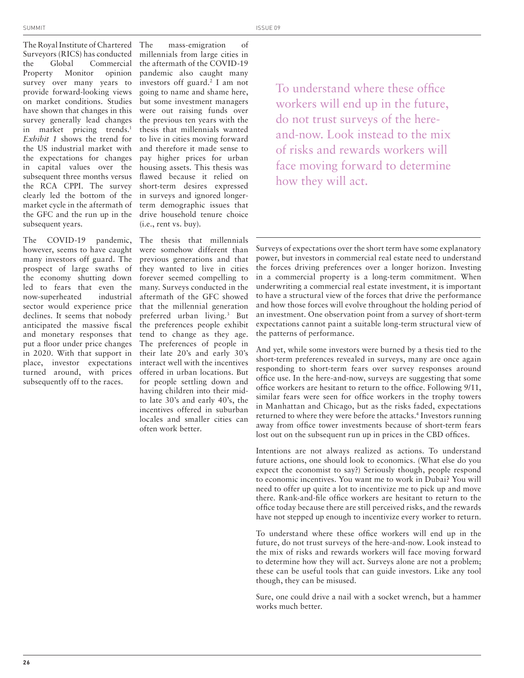The Royal Institute of Chartered Surveyors (RICS) has conducted the Global Commercial Property Monitor opinion survey over many years to provide forward-looking views on market conditions. Studies have shown that changes in this survey generally lead changes in market pricing trends.<sup>1</sup> *Exhibit 1* shows the trend for the US industrial market with the expectations for changes in capital values over the subsequent three months versus the RCA CPPI. The survey clearly led the bottom of the market cycle in the aftermath of the GFC and the run up in the subsequent years.

The COVID-19 pandemic, however, seems to have caught many investors off guard. The prospect of large swaths of the economy shutting down led to fears that even the now-superheated industrial sector would experience price declines. It seems that nobody anticipated the massive fiscal and monetary responses that put a floor under price changes in 2020. With that support in place, investor expectations turned around, with prices subsequently off to the races.

The mass-emigration of millennials from large cities in the aftermath of the COVID-19 pandemic also caught many investors off guard.<sup>2</sup> I am not going to name and shame here, but some investment managers were out raising funds over the previous ten years with the thesis that millennials wanted to live in cities moving forward and therefore it made sense to pay higher prices for urban housing assets. This thesis was flawed because it relied on short-term desires expressed in surveys and ignored longerterm demographic issues that drive household tenure choice (i.e., rent vs. buy).

The thesis that millennials were somehow different than previous generations and that they wanted to live in cities forever seemed compelling to many. Surveys conducted in the aftermath of the GFC showed that the millennial generation preferred urban living.<sup>3</sup> But the preferences people exhibit tend to change as they age. The preferences of people in their late 20's and early 30's interact well with the incentives offered in urban locations. But for people settling down and having children into their midto late 30's and early 40's, the incentives offered in suburban locales and smaller cities can often work better.

To understand where these office workers will end up in the future, do not trust surveys of the hereand-now. Look instead to the mix of risks and rewards workers will face moving forward to determine how they will act.

Surveys of expectations over the short term have some explanatory power, but investors in commercial real estate need to understand the forces driving preferences over a longer horizon. Investing in a commercial property is a long-term commitment. When underwriting a commercial real estate investment, it is important to have a structural view of the forces that drive the performance and how those forces will evolve throughout the holding period of an investment. One observation point from a survey of short-term expectations cannot paint a suitable long-term structural view of the patterns of performance.

And yet, while some investors were burned by a thesis tied to the short-term preferences revealed in surveys, many are once again responding to short-term fears over survey responses around office use. In the here-and-now, surveys are suggesting that some office workers are hesitant to return to the office. Following 9/11, similar fears were seen for office workers in the trophy towers in Manhattan and Chicago, but as the risks faded, expectations returned to where they were before the attacks.<sup>4</sup> Investors running away from office tower investments because of short-term fears lost out on the subsequent run up in prices in the CBD offices.

Intentions are not always realized as actions. To understand future actions, one should look to economics. (What else do you expect the economist to say?) Seriously though, people respond to economic incentives. You want me to work in Dubai? You will need to offer up quite a lot to incentivize me to pick up and move there. Rank-and-file office workers are hesitant to return to the office today because there are still perceived risks, and the rewards have not stepped up enough to incentivize every worker to return.

To understand where these office workers will end up in the future, do not trust surveys of the here-and-now. Look instead to the mix of risks and rewards workers will face moving forward to determine how they will act. Surveys alone are not a problem; these can be useful tools that can guide investors. Like any tool though, they can be misused.

Sure, one could drive a nail with a socket wrench, but a hammer works much better.